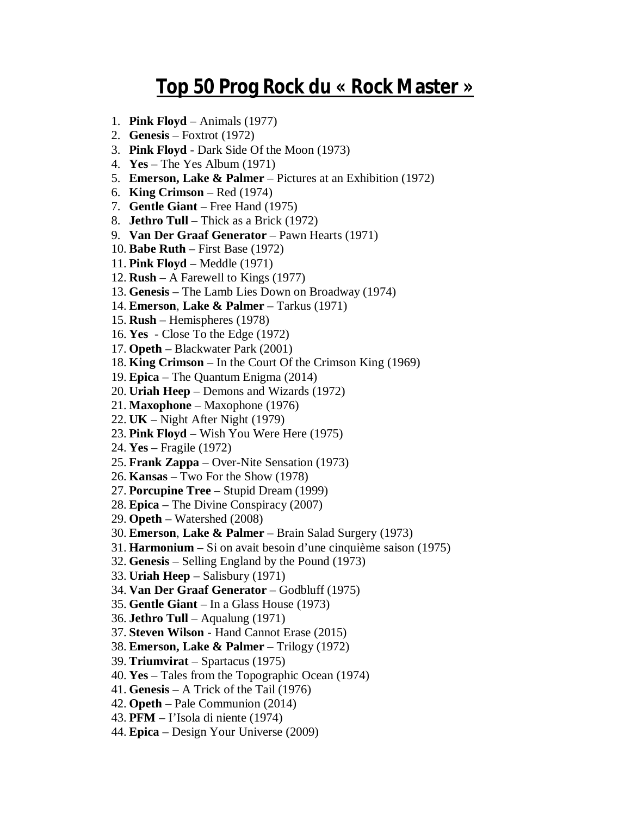## **Top 50 Prog Rock du « Rock Master »**

- 1. **Pink Floyd** Animals (1977)
- 2. **Genesis** Foxtrot (1972)
- 3. **Pink Floyd** Dark Side Of the Moon (1973)
- 4. **Yes** The Yes Album (1971)
- 5. **Emerson, Lake & Palmer** Pictures at an Exhibition (1972)
- 6. **King Crimson** Red (1974)
- 7. **Gentle Giant** Free Hand (1975)
- 8. **Jethro Tull** Thick as a Brick (1972)
- 9. **Van Der Graaf Generator** Pawn Hearts (1971)
- 10. **Babe Ruth** First Base (1972)
- 11. **Pink Floyd** Meddle (1971)
- 12. **Rush** A Farewell to Kings (1977)
- 13. **Genesis** The Lamb Lies Down on Broadway (1974)
- 14. **Emerson**, **Lake & Palmer** Tarkus (1971)
- 15. **Rush** Hemispheres (1978)
- 16. **Yes** Close To the Edge (1972)
- 17. **Opeth** Blackwater Park (2001)
- 18. **King Crimson** In the Court Of the Crimson King (1969)
- 19. **Epica** The Quantum Enigma (2014)
- 20. **Uriah Heep** Demons and Wizards (1972)
- 21. **Maxophone** Maxophone (1976)
- 22. **UK** Night After Night (1979)
- 23. **Pink Floyd** Wish You Were Here (1975)
- 24. **Yes** Fragile (1972)
- 25. **Frank Zappa** Over-Nite Sensation (1973)
- 26. **Kansas** Two For the Show (1978)
- 27. **Porcupine Tree** Stupid Dream (1999)
- 28. **Epica** The Divine Conspiracy (2007)
- 29. **Opeth** Watershed (2008)
- 30. **Emerson**, **Lake & Palmer** Brain Salad Surgery (1973)
- 31. **Harmonium** Si on avait besoin d'une cinquième saison (1975)
- 32. **Genesis** Selling England by the Pound (1973)
- 33. **Uriah Heep** Salisbury (1971)
- 34. **Van Der Graaf Generator** Godbluff (1975)
- 35. **Gentle Giant** In a Glass House (1973)
- 36. **Jethro Tull** Aqualung (1971)
- 37. **Steven Wilson** Hand Cannot Erase (2015)
- 38. **Emerson, Lake & Palmer** Trilogy (1972)
- 39. **Triumvirat** Spartacus (1975)
- 40. **Yes** Tales from the Topographic Ocean (1974)
- 41. **Genesis** A Trick of the Tail (1976)
- 42. **Opeth** Pale Communion (2014)
- 43. **PFM** I'Isola di niente (1974)
- 44. **Epica** Design Your Universe (2009)